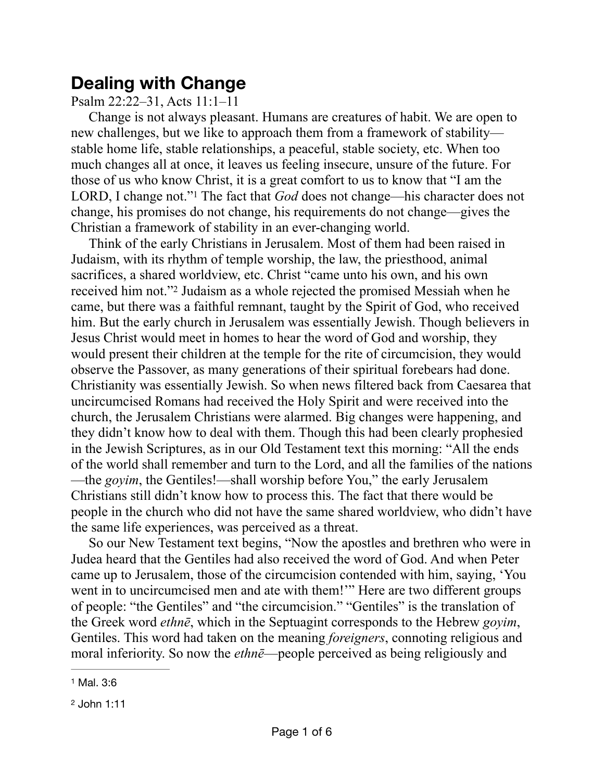## **Dealing with Change**

## Psalm 22:22–31, Acts 11:1–11

Change is not always pleasant. Humans are creatures of habit. We are open to new challenges, but we like to approach them from a framework of stability stable home life, stable relationships, a peaceful, stable society, etc. When too much changes all at once, it leaves us feeling insecure, unsure of the future. For those of us who know Christ, it is a great comfort to us to know that "I am the LORD, I change not."<sup>1</sup> The fact that *God* does not change—his character does not change, his promises do not change, his requirements do not change—gives the Christian a framework of stability in an ever-changing world.

<span id="page-0-3"></span><span id="page-0-2"></span>Think of the early Christians in Jerusalem. Most of them had been raised in Judaism, with its rhythm of temple worship, the law, the priesthood, animal sacrifices, a shared worldview, etc. Christ "came unto his own, and his own received him not."<sup>[2](#page-0-1)</sup> Judaism as a whole rejected the promised Messiah when he came, but there was a faithful remnant, taught by the Spirit of God, who received him. But the early church in Jerusalem was essentially Jewish. Though believers in Jesus Christ would meet in homes to hear the word of God and worship, they would present their children at the temple for the rite of circumcision, they would observe the Passover, as many generations of their spiritual forebears had done. Christianity was essentially Jewish. So when news filtered back from Caesarea that uncircumcised Romans had received the Holy Spirit and were received into the church, the Jerusalem Christians were alarmed. Big changes were happening, and they didn't know how to deal with them. Though this had been clearly prophesied in the Jewish Scriptures, as in our Old Testament text this morning: "All the ends of the world shall remember and turn to the Lord, and all the families of the nations —the *goyim*, the Gentiles!—shall worship before You," the early Jerusalem Christians still didn't know how to process this. The fact that there would be people in the church who did not have the same shared worldview, who didn't have the same life experiences, was perceived as a threat.

So our New Testament text begins, "Now the apostles and brethren who were in Judea heard that the Gentiles had also received the word of God. And when Peter came up to Jerusalem, those of the circumcision contended with him, saying, 'You went in to uncircumcised men and ate with them!" Here are two different groups of people: "the Gentiles" and "the circumcision." "Gentiles" is the translation of the Greek word *ethnē*, which in the Septuagint corresponds to the Hebrew *goyim*, Gentiles. This word had taken on the meaning *foreigners*, connoting religious and moral inferiority. So now the *ethne*—people perceived as being religiously and

<span id="page-0-0"></span>[<sup>1</sup>](#page-0-2) Mal. 3:6

<span id="page-0-1"></span>[<sup>2</sup>](#page-0-3) John 1:11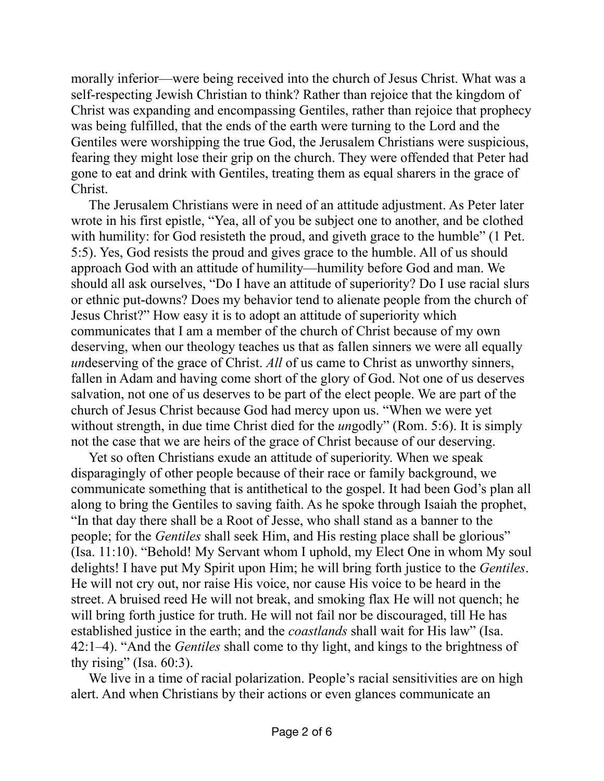morally inferior—were being received into the church of Jesus Christ. What was a self-respecting Jewish Christian to think? Rather than rejoice that the kingdom of Christ was expanding and encompassing Gentiles, rather than rejoice that prophecy was being fulfilled, that the ends of the earth were turning to the Lord and the Gentiles were worshipping the true God, the Jerusalem Christians were suspicious, fearing they might lose their grip on the church. They were offended that Peter had gone to eat and drink with Gentiles, treating them as equal sharers in the grace of Christ.

The Jerusalem Christians were in need of an attitude adjustment. As Peter later wrote in his first epistle, "Yea, all of you be subject one to another, and be clothed with humility: for God resisteth the proud, and giveth grace to the humble" (1 Pet. 5:5). Yes, God resists the proud and gives grace to the humble. All of us should approach God with an attitude of humility—humility before God and man. We should all ask ourselves, "Do I have an attitude of superiority? Do I use racial slurs or ethnic put-downs? Does my behavior tend to alienate people from the church of Jesus Christ?" How easy it is to adopt an attitude of superiority which communicates that I am a member of the church of Christ because of my own deserving, when our theology teaches us that as fallen sinners we were all equally *un*deserving of the grace of Christ. *All* of us came to Christ as unworthy sinners, fallen in Adam and having come short of the glory of God. Not one of us deserves salvation, not one of us deserves to be part of the elect people. We are part of the church of Jesus Christ because God had mercy upon us. "When we were yet without strength, in due time Christ died for the *ungodly*" (Rom. 5:6). It is simply not the case that we are heirs of the grace of Christ because of our deserving.

Yet so often Christians exude an attitude of superiority. When we speak disparagingly of other people because of their race or family background, we communicate something that is antithetical to the gospel. It had been God's plan all along to bring the Gentiles to saving faith. As he spoke through Isaiah the prophet, "In that day there shall be a Root of Jesse, who shall stand as a banner to the people; for the *Gentiles* shall seek Him, and His resting place shall be glorious" (Isa. 11:10). "Behold! My Servant whom I uphold, my Elect One in whom My soul delights! I have put My Spirit upon Him; he will bring forth justice to the *Gentiles*. He will not cry out, nor raise His voice, nor cause His voice to be heard in the street. A bruised reed He will not break, and smoking flax He will not quench; he will bring forth justice for truth. He will not fail nor be discouraged, till He has established justice in the earth; and the *coastlands* shall wait for His law" (Isa. 42:1–4). "And the *Gentiles* shall come to thy light, and kings to the brightness of thy rising" (Isa.  $60:3$ ).

We live in a time of racial polarization. People's racial sensitivities are on high alert. And when Christians by their actions or even glances communicate an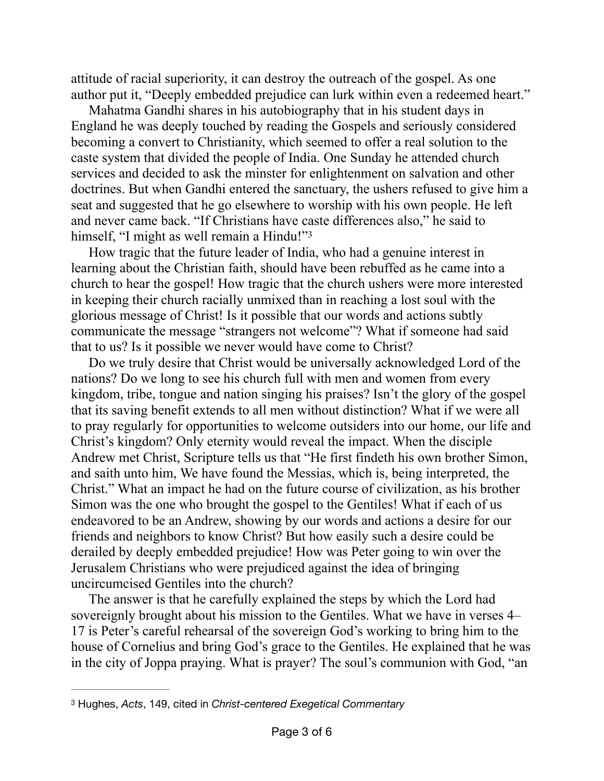attitude of racial superiority, it can destroy the outreach of the gospel. As one author put it, "Deeply embedded prejudice can lurk within even a redeemed heart."

Mahatma Gandhi shares in his autobiography that in his student days in England he was deeply touched by reading the Gospels and seriously considered becoming a convert to Christianity, which seemed to offer a real solution to the caste system that divided the people of India. One Sunday he attended church services and decided to ask the minster for enlightenment on salvation and other doctrines. But when Gandhi entered the sanctuary, the ushers refused to give him a seat and suggested that he go elsewhere to worship with his own people. He left and never came back. "If Christians have caste differences also," he said to himself, "I might as well remain a Hindu!"<sup>3</sup>

<span id="page-2-1"></span>How tragic that the future leader of India, who had a genuine interest in learning about the Christian faith, should have been rebuffed as he came into a church to hear the gospel! How tragic that the church ushers were more interested in keeping their church racially unmixed than in reaching a lost soul with the glorious message of Christ! Is it possible that our words and actions subtly communicate the message "strangers not welcome"? What if someone had said that to us? Is it possible we never would have come to Christ?

Do we truly desire that Christ would be universally acknowledged Lord of the nations? Do we long to see his church full with men and women from every kingdom, tribe, tongue and nation singing his praises? Isn't the glory of the gospel that its saving benefit extends to all men without distinction? What if we were all to pray regularly for opportunities to welcome outsiders into our home, our life and Christ's kingdom? Only eternity would reveal the impact. When the disciple Andrew met Christ, Scripture tells us that "He first findeth his own brother Simon, and saith unto him, We have found the Messias, which is, being interpreted, the Christ." What an impact he had on the future course of civilization, as his brother Simon was the one who brought the gospel to the Gentiles! What if each of us endeavored to be an Andrew, showing by our words and actions a desire for our friends and neighbors to know Christ? But how easily such a desire could be derailed by deeply embedded prejudice! How was Peter going to win over the Jerusalem Christians who were prejudiced against the idea of bringing uncircumcised Gentiles into the church?

The answer is that he carefully explained the steps by which the Lord had sovereignly brought about his mission to the Gentiles. What we have in verses 4– 17 is Peter's careful rehearsal of the sovereign God's working to bring him to the house of Cornelius and bring God's grace to the Gentiles. He explained that he was in the city of Joppa praying. What is prayer? The soul's communion with God, "an

<span id="page-2-0"></span>[<sup>3</sup>](#page-2-1) Hughes, *Acts*, 149, cited in *Christ-centered Exegetical Commentary*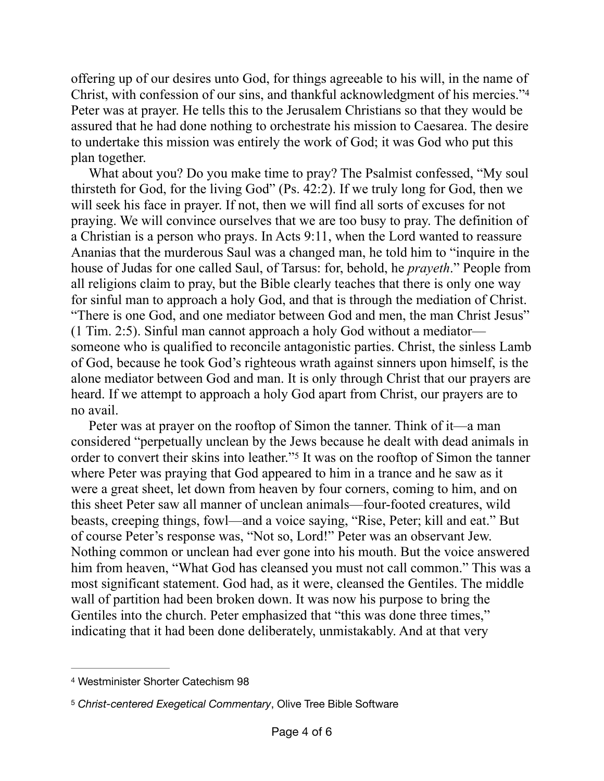<span id="page-3-2"></span>offering up of our desires unto God, for things agreeable to his will, in the name of Christ, with confession of our sins, and thankful acknowledgment of his mercies.["4](#page-3-0) Peter was at prayer. He tells this to the Jerusalem Christians so that they would be assured that he had done nothing to orchestrate his mission to Caesarea. The desire to undertake this mission was entirely the work of God; it was God who put this plan together.

What about you? Do you make time to pray? The Psalmist confessed, "My soul thirsteth for God, for the living God" (Ps. 42:2). If we truly long for God, then we will seek his face in prayer. If not, then we will find all sorts of excuses for not praying. We will convince ourselves that we are too busy to pray. The definition of a Christian is a person who prays. In Acts 9:11, when the Lord wanted to reassure Ananias that the murderous Saul was a changed man, he told him to "inquire in the house of Judas for one called Saul, of Tarsus: for, behold, he *prayeth*." People from all religions claim to pray, but the Bible clearly teaches that there is only one way for sinful man to approach a holy God, and that is through the mediation of Christ. "There is one God, and one mediator between God and men, the man Christ Jesus" (1 Tim. 2:5). Sinful man cannot approach a holy God without a mediator someone who is qualified to reconcile antagonistic parties. Christ, the sinless Lamb of God, because he took God's righteous wrath against sinners upon himself, is the alone mediator between God and man. It is only through Christ that our prayers are heard. If we attempt to approach a holy God apart from Christ, our prayers are to no avail.

<span id="page-3-3"></span>Peter was at prayer on the rooftop of Simon the tanner. Think of it—a man considered "perpetually unclean by the Jews because he dealt with dead animals in order to convert their skins into leather."<sup>[5](#page-3-1)</sup> It was on the rooftop of Simon the tanner where Peter was praying that God appeared to him in a trance and he saw as it were a great sheet, let down from heaven by four corners, coming to him, and on this sheet Peter saw all manner of unclean animals—four-footed creatures, wild beasts, creeping things, fowl—and a voice saying, "Rise, Peter; kill and eat." But of course Peter's response was, "Not so, Lord!" Peter was an observant Jew. Nothing common or unclean had ever gone into his mouth. But the voice answered him from heaven, "What God has cleansed you must not call common." This was a most significant statement. God had, as it were, cleansed the Gentiles. The middle wall of partition had been broken down. It was now his purpose to bring the Gentiles into the church. Peter emphasized that "this was done three times," indicating that it had been done deliberately, unmistakably. And at that very

<span id="page-3-0"></span>[<sup>4</sup>](#page-3-2) Westminister Shorter Catechism 98

<span id="page-3-1"></span>[<sup>5</sup>](#page-3-3) *Christ-centered Exegetical Commentary*, Olive Tree Bible Software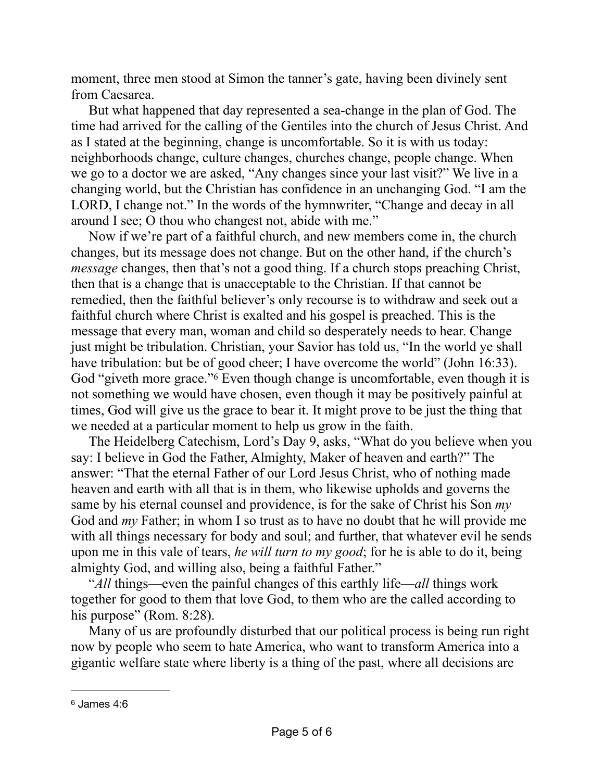moment, three men stood at Simon the tanner's gate, having been divinely sent from Caesarea.

But what happened that day represented a sea-change in the plan of God. The time had arrived for the calling of the Gentiles into the church of Jesus Christ. And as I stated at the beginning, change is uncomfortable. So it is with us today: neighborhoods change, culture changes, churches change, people change. When we go to a doctor we are asked, "Any changes since your last visit?" We live in a changing world, but the Christian has confidence in an unchanging God. "I am the LORD, I change not." In the words of the hymnwriter, "Change and decay in all around I see; O thou who changest not, abide with me."

Now if we're part of a faithful church, and new members come in, the church changes, but its message does not change. But on the other hand, if the church's *message* changes, then that's not a good thing. If a church stops preaching Christ, then that is a change that is unacceptable to the Christian. If that cannot be remedied, then the faithful believer's only recourse is to withdraw and seek out a faithful church where Christ is exalted and his gospel is preached. This is the message that every man, woman and child so desperately needs to hear. Change just might be tribulation. Christian, your Savior has told us, "In the world ye shall have tribulation: but be of good cheer; I have overcome the world" (John 16:33). God "giveth more grace." Even though change is uncomfortable, even though it is not something we would have chosen, even though it may be positively painful at times, God will give us the grace to bear it. It might prove to be just the thing that we needed at a particular moment to help us grow in the faith.

<span id="page-4-1"></span>The Heidelberg Catechism, Lord's Day 9, asks, "What do you believe when you say: I believe in God the Father, Almighty, Maker of heaven and earth?" The answer: "That the eternal Father of our Lord Jesus Christ, who of nothing made heaven and earth with all that is in them, who likewise upholds and governs the same by his eternal counsel and providence, is for the sake of Christ his Son *my* God and *my* Father; in whom I so trust as to have no doubt that he will provide me with all things necessary for body and soul; and further, that whatever evil he sends upon me in this vale of tears, *he will turn to my good*; for he is able to do it, being almighty God, and willing also, being a faithful Father."

"*All* things—even the painful changes of this earthly life—*all* things work together for good to them that love God, to them who are the called according to his purpose" (Rom. 8:28).

Many of us are profoundly disturbed that our political process is being run right now by people who seem to hate America, who want to transform America into a gigantic welfare state where liberty is a thing of the past, where all decisions are

<span id="page-4-0"></span>[<sup>6</sup>](#page-4-1) James 4:6